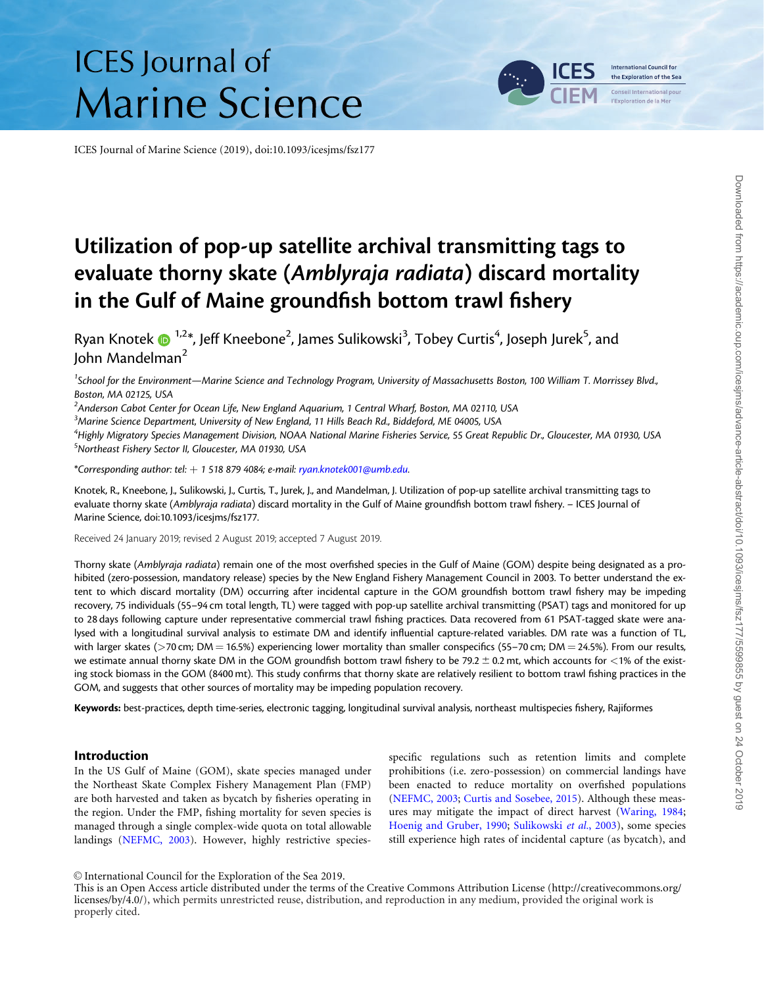# **ICES** Journal of **Marine Science**

ICES Journal of Marine Science (2019), doi:10.1093/icesjms/fsz177

# Utilization of pop-up satellite archival transmitting tags to evaluate thorny skate (Amblyraja radiata) discard mortality in the Gulf of Maine groundfish bottom trawl fishery

Ryan Knotek ��������, Jeff Kneebone<sup>2</sup>, James Sulikowski $^3$ , Tobey Curtis $^4$ , Joseph Jurek $^5$ , and John Mandelman<sup>2</sup>

<sup>1</sup>School for the Environment—Marine Science and Technology Program, University of Massachusetts Boston, 100 William T. Morrissey Blvd., Boston, MA 02125, USA

 $^2$ Anderson Cabot Center for Ocean Life, New England Aquarium, 1 Central Wharf, Boston, MA 02110, USA

 $^3$ Marine Science Department, University of New England, 11 Hills Beach Rd., Biddeford, ME 04005, USA

4 Highly Migratory Species Management Division, NOAA National Marine Fisheries Service, 55 Great Republic Dr., Gloucester, MA 01930, USA 5 Northeast Fishery Sector II, Gloucester, MA 01930, USA

\*Corresponding author: tel:  $+15188794084$ ; e-mail: [ryan.knotek001@umb.edu.](mailto:ryan.knotek001@umb.edu)

Knotek, R., Kneebone, J., Sulikowski, J., Curtis, T., Jurek, J., and Mandelman, J. Utilization of pop-up satellite archival transmitting tags to evaluate thorny skate (Amblyraja radiata) discard mortality in the Gulf of Maine groundfish bottom trawl fishery. - ICES Journal of Marine Science, doi:10.1093/icesjms/fsz177.

Received 24 January 2019; revised 2 August 2019; accepted 7 August 2019.

Thorny skate (Amblyraja radiata) remain one of the most overfished species in the Gulf of Maine (GOM) despite being designated as a prohibited (zero-possession, mandatory release) species by the New England Fishery Management Council in 2003. To better understand the extent to which discard mortality (DM) occurring after incidental capture in the GOM groundfish bottom trawl fishery may be impeding recovery, 75 individuals (55–94 cm total length, TL) were tagged with pop-up satellite archival transmitting (PSAT) tags and monitored for up to 28 days following capture under representative commercial trawl fishing practices. Data recovered from 61 PSAT-tagged skate were analysed with a longitudinal survival analysis to estimate DM and identify influential capture-related variables. DM rate was a function of TL, with larger skates ( $>$ 70 cm; DM = 16.5%) experiencing lower mortality than smaller conspecifics (55–70 cm; DM = 24.5%). From our results, we estimate annual thorny skate DM in the GOM groundfish bottom trawl fishery to be 79.2  $\pm$  0.2 mt, which accounts for <1% of the existing stock biomass in the GOM (8400 mt). This study confirms that thorny skate are relatively resilient to bottom trawl fishing practices in the GOM, and suggests that other sources of mortality may be impeding population recovery.

Keywords: best-practices, depth time-series, electronic tagging, longitudinal survival analysis, northeast multispecies fishery, Rajiformes

#### Introduction

In the US Gulf of Maine (GOM), skate species managed under the Northeast Skate Complex Fishery Management Plan (FMP) are both harvested and taken as bycatch by fisheries operating in the region. Under the FMP, fishing mortality for seven species is managed through a single complex-wide quota on total allowable landings [\(NEFMC, 2003](#page-9-0)). However, highly restrictive species-

specific regulations such as retention limits and complete prohibitions (i.e. zero-possession) on commercial landings have been enacted to reduce mortality on overfished populations [\(NEFMC, 2003](#page-9-0); [Curtis and Sosebee, 2015\)](#page-9-0). Although these measures may mitigate the impact of direct harvest [\(Waring, 1984;](#page-10-0) [Hoenig and Gruber, 1990;](#page-9-0) [Sulikowski](#page-10-0) et al., 2003), some species still experience high rates of incidental capture (as bycatch), and

V<sup>C</sup> International Council for the Exploration of the Sea 2019.

This is an Open Access article distributed under the terms of the Creative Commons Attribution License ([http://creativecommons.org/](Undefined namespace prefix
xmlXPathCompOpEval: parameter error
xmlXPathEval: evaluation failed
) [licenses/by/4.0/\)](Undefined namespace prefix
xmlXPathCompOpEval: parameter error
xmlXPathEval: evaluation failed
), which permits unrestricted reuse, distribution, and reproduction in any medium, provided the original work is properly cited.

**International Council for** the Exploration of the Sea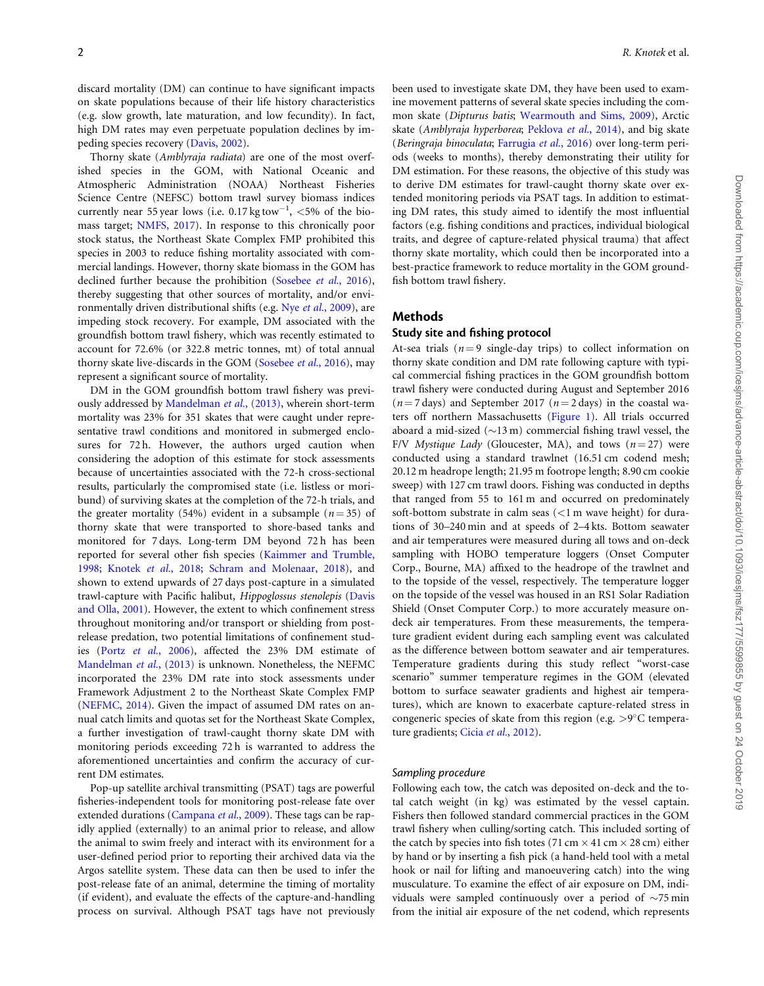discard mortality (DM) can continue to have significant impacts on skate populations because of their life history characteristics (e.g. slow growth, late maturation, and low fecundity). In fact, high DM rates may even perpetuate population declines by impeding species recovery ([Davis, 2002](#page-9-0)).

Thorny skate (Amblyraja radiata) are one of the most overfished species in the GOM, with National Oceanic and Atmospheric Administration (NOAA) Northeast Fisheries Science Centre (NEFSC) bottom trawl survey biomass indices currently near 55 year lows (i.e.  $0.17 \text{ kg}$  tow<sup>-1</sup>, <5% of the biomass target; [NMFS, 2017](#page-9-0)). In response to this chronically poor stock status, the Northeast Skate Complex FMP prohibited this species in 2003 to reduce fishing mortality associated with commercial landings. However, thorny skate biomass in the GOM has declined further because the prohibition [\(Sosebee](#page-9-0) et al., 2016), thereby suggesting that other sources of mortality, and/or envi-ronmentally driven distributional shifts (e.g. Nye et al.[, 2009\)](#page-9-0), are impeding stock recovery. For example, DM associated with the groundfish bottom trawl fishery, which was recently estimated to account for 72.6% (or 322.8 metric tonnes, mt) of total annual thorny skate live-discards in the GOM ([Sosebee](#page-9-0) et al., 2016), may represent a significant source of mortality.

DM in the GOM groundfish bottom trawl fishery was previously addressed by [Mandelman](#page-9-0) et al., (2013), wherein short-term mortality was 23% for 351 skates that were caught under representative trawl conditions and monitored in submerged enclosures for 72 h. However, the authors urged caution when considering the adoption of this estimate for stock assessments because of uncertainties associated with the 72-h cross-sectional results, particularly the compromised state (i.e. listless or moribund) of surviving skates at the completion of the 72-h trials, and the greater mortality (54%) evident in a subsample ( $n = 35$ ) of thorny skate that were transported to shore-based tanks and monitored for 7 days. Long-term DM beyond 72 h has been reported for several other fish species ([Kaimmer and Trumble,](#page-9-0) [1998;](#page-9-0) [Knotek](#page-9-0) et al., 2018; [Schram and Molenaar, 2018\)](#page-9-0), and shown to extend upwards of 27 days post-capture in a simulated trawl-capture with Pacific halibut, Hippoglossus stenolepis [\(Davis](#page-9-0) [and Olla, 2001](#page-9-0)). However, the extent to which confinement stress throughout monitoring and/or transport or shielding from postrelease predation, two potential limitations of confinement studies (Portz et al.[, 2006](#page-9-0)), affected the 23% DM estimate of [Mandelman](#page-9-0) et al., (2013) is unknown. Nonetheless, the NEFMC incorporated the 23% DM rate into stock assessments under Framework Adjustment 2 to the Northeast Skate Complex FMP ([NEFMC, 2014](#page-9-0)). Given the impact of assumed DM rates on annual catch limits and quotas set for the Northeast Skate Complex, a further investigation of trawl-caught thorny skate DM with monitoring periods exceeding 72 h is warranted to address the aforementioned uncertainties and confirm the accuracy of current DM estimates.

Pop-up satellite archival transmitting (PSAT) tags are powerful fisheries-independent tools for monitoring post-release fate over extended durations ([Campana](#page-8-0) et al., 2009). These tags can be rapidly applied (externally) to an animal prior to release, and allow the animal to swim freely and interact with its environment for a user-defined period prior to reporting their archived data via the Argos satellite system. These data can then be used to infer the post-release fate of an animal, determine the timing of mortality (if evident), and evaluate the effects of the capture-and-handling process on survival. Although PSAT tags have not previously been used to investigate skate DM, they have been used to examine movement patterns of several skate species including the common skate (Dipturus batis; [Wearmouth and Sims, 2009\)](#page-10-0), Arctic skate (Amblyraja hyperborea; [Peklova](#page-9-0) et al., 2014), and big skate (Beringraja binoculata; [Farrugia](#page-9-0) et al., 2016) over long-term periods (weeks to months), thereby demonstrating their utility for DM estimation. For these reasons, the objective of this study was to derive DM estimates for trawl-caught thorny skate over extended monitoring periods via PSAT tags. In addition to estimating DM rates, this study aimed to identify the most influential factors (e.g. fishing conditions and practices, individual biological traits, and degree of capture-related physical trauma) that affect thorny skate mortality, which could then be incorporated into a best-practice framework to reduce mortality in the GOM groundfish bottom trawl fishery.

#### Methods

## Study site and fishing protocol

At-sea trials ( $n = 9$  single-day trips) to collect information on thorny skate condition and DM rate following capture with typical commercial fishing practices in the GOM groundfish bottom trawl fishery were conducted during August and September 2016  $(n = 7$  days) and September 2017  $(n = 2$  days) in the coastal waters off northern Massachusetts [\(Figure 1\)](#page-2-0). All trials occurred aboard a mid-sized  $(\sim 13 \text{ m})$  commercial fishing trawl vessel, the F/V Mystique Lady (Gloucester, MA), and tows  $(n = 27)$  were conducted using a standard trawlnet (16.51 cm codend mesh; 20.12 m headrope length; 21.95 m footrope length; 8.90 cm cookie sweep) with 127 cm trawl doors. Fishing was conducted in depths that ranged from 55 to 161 m and occurred on predominately soft-bottom substrate in calm seas (<1 m wave height) for durations of 30–240 min and at speeds of 2–4 kts. Bottom seawater and air temperatures were measured during all tows and on-deck sampling with HOBO temperature loggers (Onset Computer Corp., Bourne, MA) affixed to the headrope of the trawlnet and to the topside of the vessel, respectively. The temperature logger on the topside of the vessel was housed in an RS1 Solar Radiation Shield (Onset Computer Corp.) to more accurately measure ondeck air temperatures. From these measurements, the temperature gradient evident during each sampling event was calculated as the difference between bottom seawater and air temperatures. Temperature gradients during this study reflect "worst-case scenario" summer temperature regimes in the GOM (elevated bottom to surface seawater gradients and highest air temperatures), which are known to exacerbate capture-related stress in congeneric species of skate from this region (e.g.  $>9^{\circ}$ C tempera-ture gradients; Cicia et al.[, 2012\)](#page-9-0).

#### Sampling procedure

Following each tow, the catch was deposited on-deck and the total catch weight (in kg) was estimated by the vessel captain. Fishers then followed standard commercial practices in the GOM trawl fishery when culling/sorting catch. This included sorting of the catch by species into fish totes (71 cm  $\times$  41 cm  $\times$  28 cm) either by hand or by inserting a fish pick (a hand-held tool with a metal hook or nail for lifting and manoeuvering catch) into the wing musculature. To examine the effect of air exposure on DM, individuals were sampled continuously over a period of  $\sim$ 75 min from the initial air exposure of the net codend, which represents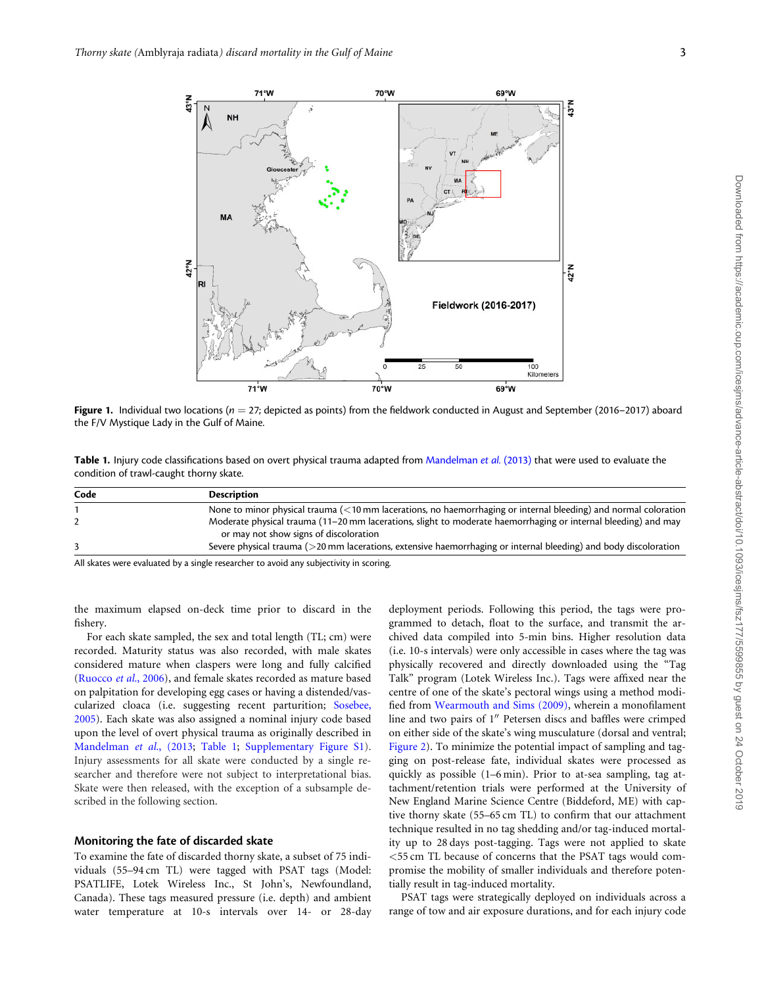**NIH** 

 $71°W$ 

<span id="page-2-0"></span>

**GOOM** 

| Table 1. Injury code classifications based on overt physical trauma adapted from Mandelman et al. (2013) that were used to evaluate the |  |
|-----------------------------------------------------------------------------------------------------------------------------------------|--|

70°W

70°W

condition of trawl-caught thorny skate.

| Code | <b>Description</b>                                                                                                       |
|------|--------------------------------------------------------------------------------------------------------------------------|
|      | None to minor physical trauma $\left($ < 10 mm lacerations, no haemorrhaging or internal bleeding) and normal coloration |
|      | Moderate physical trauma (11–20 mm lacerations, slight to moderate haemorrhaging or internal bleeding) and may           |
|      | or may not show signs of discoloration                                                                                   |
|      | Severe physical trauma (>20 mm lacerations, extensive haemorrhaging or internal bleeding) and body discoloration         |
| .    |                                                                                                                          |

All skates were evaluated by a single researcher to avoid any subjectivity in scoring.

 $71^{\circ}$ W

the maximum elapsed on-deck time prior to discard in the fishery.

For each skate sampled, the sex and total length (TL; cm) were recorded. Maturity status was also recorded, with male skates considered mature when claspers were long and fully calcified ([Ruocco](#page-9-0) et al., 2006), and female skates recorded as mature based on palpitation for developing egg cases or having a distended/vascularized cloaca (i.e. suggesting recent parturition; [Sosebee,](#page-10-0) [2005\)](#page-10-0). Each skate was also assigned a nominal injury code based upon the level of overt physical trauma as originally described in [Mandelman](#page-9-0) et al., (2013; Table 1; [Supplementary Figure S1](https://academic.oup.com/icesjms/article-lookup/doi/10.1093/icesjms/fsz177#supplementary-data)). Injury assessments for all skate were conducted by a single researcher and therefore were not subject to interpretational bias. Skate were then released, with the exception of a subsample described in the following section.

#### Monitoring the fate of discarded skate

the F/V Mystique Lady in the Gulf of Maine.

42°N

To examine the fate of discarded thorny skate, a subset of 75 individuals (55–94 cm TL) were tagged with PSAT tags (Model: PSATLIFE, Lotek Wireless Inc., St John's, Newfoundland, Canada). These tags measured pressure (i.e. depth) and ambient water temperature at 10-s intervals over 14- or 28-day

deployment periods. Following this period, the tags were programmed to detach, float to the surface, and transmit the archived data compiled into 5-min bins. Higher resolution data (i.e. 10-s intervals) were only accessible in cases where the tag was physically recovered and directly downloaded using the "Tag Talk" program (Lotek Wireless Inc.). Tags were affixed near the centre of one of the skate's pectoral wings using a method modified from [Wearmouth and Sims \(2009\)](#page-10-0), wherein a monofilament line and two pairs of 1" Petersen discs and baffles were crimped on either side of the skate's wing musculature (dorsal and ventral; [Figure 2\)](#page-3-0). To minimize the potential impact of sampling and tagging on post-release fate, individual skates were processed as quickly as possible (1–6 min). Prior to at-sea sampling, tag attachment/retention trials were performed at the University of New England Marine Science Centre (Biddeford, ME) with captive thorny skate (55–65 cm TL) to confirm that our attachment technique resulted in no tag shedding and/or tag-induced mortality up to 28 days post-tagging. Tags were not applied to skate <55 cm TL because of concerns that the PSAT tags would compromise the mobility of smaller individuals and therefore potentially result in tag-induced mortality.

PSAT tags were strategically deployed on individuals across a range of tow and air exposure durations, and for each injury code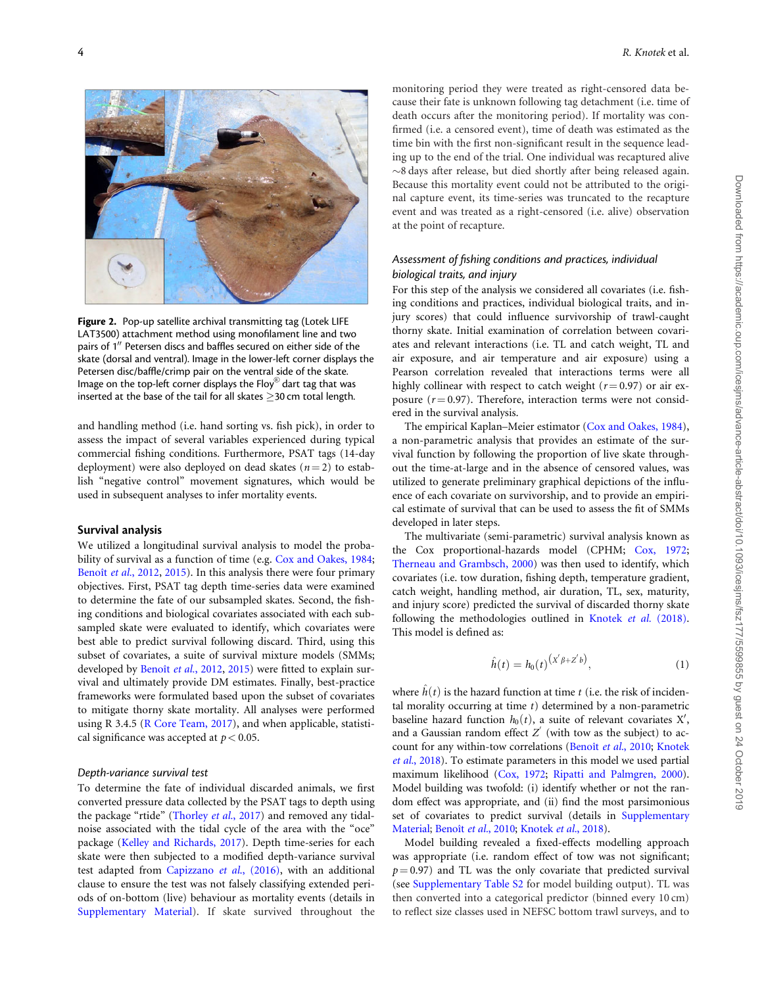<span id="page-3-0"></span>

Figure 2. Pop-up satellite archival transmitting tag (Lotek LIFE LAT3500) attachment method using monofilament line and two pairs of 1" Petersen discs and baffles secured on either side of the skate (dorsal and ventral). Image in the lower-left corner displays the Petersen disc/baffle/crimp pair on the ventral side of the skate. Image on the top-left corner displays the Floy $^\circledR$  dart tag that was inserted at the base of the tail for all skates  $\geq$ 30 cm total length.

and handling method (i.e. hand sorting vs. fish pick), in order to assess the impact of several variables experienced during typical commercial fishing conditions. Furthermore, PSAT tags (14-day deployment) were also deployed on dead skates ( $n = 2$ ) to establish "negative control" movement signatures, which would be used in subsequent analyses to infer mortality events.

#### Survival analysis

We utilized a longitudinal survival analysis to model the probability of survival as a function of time (e.g. [Cox and Oakes, 1984](#page-9-0); Benoît et al., 2012, [2015](#page-8-0)). In this analysis there were four primary objectives. First, PSAT tag depth time-series data were examined to determine the fate of our subsampled skates. Second, the fishing conditions and biological covariates associated with each subsampled skate were evaluated to identify, which covariates were best able to predict survival following discard. Third, using this subset of covariates, a suite of survival mixture models (SMMs; developed by Benoît et al., 2012, [2015](#page-8-0)) were fitted to explain survival and ultimately provide DM estimates. Finally, best-practice frameworks were formulated based upon the subset of covariates to mitigate thorny skate mortality. All analyses were performed using R 3.4.5 ([R Core Team, 2017](#page-9-0)), and when applicable, statistical significance was accepted at  $p < 0.05$ .

#### Depth-variance survival test

To determine the fate of individual discarded animals, we first converted pressure data collected by the PSAT tags to depth using the package "rtide" ([Thorley](#page-10-0) et al., 2017) and removed any tidalnoise associated with the tidal cycle of the area with the "oce" package ([Kelley and Richards, 2017\)](#page-9-0). Depth time-series for each skate were then subjected to a modified depth-variance survival test adapted from [Capizzano](#page-9-0) et al., (2016), with an additional clause to ensure the test was not falsely classifying extended periods of on-bottom (live) behaviour as mortality events (details in [Supplementary Material](https://academic.oup.com/icesjms/article-lookup/doi/10.1093/icesjms/fsz177#supplementary-data)). If skate survived throughout the monitoring period they were treated as right-censored data because their fate is unknown following tag detachment (i.e. time of death occurs after the monitoring period). If mortality was confirmed (i.e. a censored event), time of death was estimated as the time bin with the first non-significant result in the sequence leading up to the end of the trial. One individual was recaptured alive  $\sim$ 8 days after release, but died shortly after being released again. Because this mortality event could not be attributed to the original capture event, its time-series was truncated to the recapture event and was treated as a right-censored (i.e. alive) observation at the point of recapture.

# Assessment of fishing conditions and practices, individual biological traits, and injury

For this step of the analysis we considered all covariates (i.e. fishing conditions and practices, individual biological traits, and injury scores) that could influence survivorship of trawl-caught thorny skate. Initial examination of correlation between covariates and relevant interactions (i.e. TL and catch weight, TL and air exposure, and air temperature and air exposure) using a Pearson correlation revealed that interactions terms were all highly collinear with respect to catch weight ( $r = 0.97$ ) or air exposure  $(r = 0.97)$ . Therefore, interaction terms were not considered in the survival analysis.

The empirical Kaplan–Meier estimator ([Cox and Oakes, 1984](#page-9-0)), a non-parametric analysis that provides an estimate of the survival function by following the proportion of live skate throughout the time-at-large and in the absence of censored values, was utilized to generate preliminary graphical depictions of the influence of each covariate on survivorship, and to provide an empirical estimate of survival that can be used to assess the fit of SMMs developed in later steps.

The multivariate (semi-parametric) survival analysis known as the Cox proportional-hazards model (CPHM; [Cox, 1972;](#page-9-0) [Therneau and Grambsch, 2000\)](#page-10-0) was then used to identify, which covariates (i.e. tow duration, fishing depth, temperature gradient, catch weight, handling method, air duration, TL, sex, maturity, and injury score) predicted the survival of discarded thorny skate following the methodologies outlined in [Knotek](#page-9-0) et al. (2018). This model is defined as:

$$
\hat{h}(t) = h_0(t)^{(X'\beta + Z'b)},
$$
\n(1)

where  $\hat{h}(t)$  is the hazard function at time t (i.e. the risk of incidental morality occurring at time  $t$ ) determined by a non-parametric baseline hazard function  $h_0(t)$ , a suite of relevant covariates X', and a Gaussian random effect  $Z'$  (with tow as the subject) to ac-count for any within-tow correlations (Benoît et al., 2010; [Knotek](#page-9-0) et al.[, 2018](#page-9-0)). To estimate parameters in this model we used partial maximum likelihood [\(Cox, 1972](#page-9-0); [Ripatti and Palmgren, 2000](#page-9-0)). Model building was twofold: (i) identify whether or not the random effect was appropriate, and (ii) find the most parsimonious set of covariates to predict survival (details in [Supplementary](https://academic.oup.com/icesjms/article-lookup/doi/10.1093/icesjms/fsz177#supplementary-data) [Material;](https://academic.oup.com/icesjms/article-lookup/doi/10.1093/icesjms/fsz177#supplementary-data) Benoît et al., 2010; [Knotek](#page-9-0) et al., 2018).

Model building revealed a fixed-effects modelling approach was appropriate (i.e. random effect of tow was not significant;  $p = 0.97$ ) and TL was the only covariate that predicted survival (see [Supplementary Table S2](https://academic.oup.com/icesjms/article-lookup/doi/10.1093/icesjms/fsz177#supplementary-data) for model building output). TL was then converted into a categorical predictor (binned every 10 cm) to reflect size classes used in NEFSC bottom trawl surveys, and to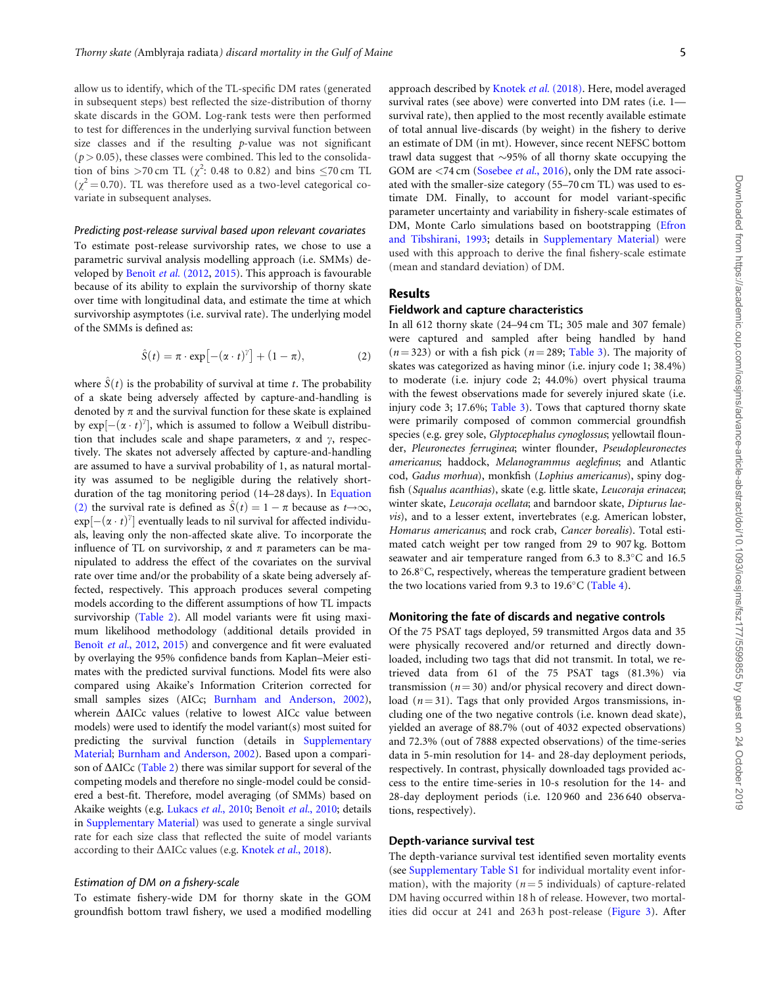allow us to identify, which of the TL-specific DM rates (generated in subsequent steps) best reflected the size-distribution of thorny skate discards in the GOM. Log-rank tests were then performed to test for differences in the underlying survival function between size classes and if the resulting  $p$ -value was not significant  $(p > 0.05)$ , these classes were combined. This led to the consolidation of bins >70 cm TL ( $\chi^2$ : 0.48 to 0.82) and bins  $\leq$ 70 cm TL  $(\chi^2 = 0.70)$ . TL was therefore used as a two-level categorical covariate in subsequent analyses.

#### Predicting post-release survival based upon relevant covariates

To estimate post-release survivorship rates, we chose to use a parametric survival analysis modelling approach (i.e. SMMs) de-veloped by Benoît et al. (2012, [2015](#page-8-0)). This approach is favourable because of its ability to explain the survivorship of thorny skate over time with longitudinal data, and estimate the time at which survivorship asymptotes (i.e. survival rate). The underlying model of the SMMs is defined as:

$$
\hat{S}(t) = \pi \cdot \exp\left[-(\alpha \cdot t)^{\gamma}\right] + (1 - \pi), \tag{2}
$$

where  $\hat{S}(t)$  is the probability of survival at time t. The probability of a skate being adversely affected by capture-and-handling is denoted by  $\pi$  and the survival function for these skate is explained by  $exp[-(\alpha \cdot t)^{\gamma}]$ , which is assumed to follow a Weibull distribution that includes scale and shape parameters,  $\alpha$  and  $\gamma$ , respectively. The skates not adversely affected by capture-and-handling are assumed to have a survival probability of 1, as natural mortality was assumed to be negligible during the relatively shortduration of the tag monitoring period (14–28 days). In Equation (2) the survival rate is defined as  $\hat{S}(t) = 1 - \pi$  because as  $t \rightarrow \infty$ ,  $exp[-(\alpha \cdot t)^{\gamma}]$  eventually leads to nil survival for affected individuals, leaving only the non-affected skate alive. To incorporate the influence of TL on survivorship,  $\alpha$  and  $\pi$  parameters can be manipulated to address the effect of the covariates on the survival rate over time and/or the probability of a skate being adversely affected, respectively. This approach produces several competing models according to the different assumptions of how TL impacts survivorship [\(Table 2](#page-5-0)). All model variants were fit using maximum likelihood methodology (additional details provided in Benoît et al., 2012, [2015\)](#page-8-0) and convergence and fit were evaluated by overlaying the 95% confidence bands from Kaplan–Meier estimates with the predicted survival functions. Model fits were also compared using Akaike's Information Criterion corrected for small samples sizes (AICc; [Burnham and Anderson, 2002](#page-8-0)), wherein  $\triangle$ AICc values (relative to lowest AICc value between models) were used to identify the model variant(s) most suited for predicting the survival function (details in [Supplementary](https://academic.oup.com/icesjms/article-lookup/doi/10.1093/icesjms/fsz177#supplementary-data) [Material;](https://academic.oup.com/icesjms/article-lookup/doi/10.1093/icesjms/fsz177#supplementary-data) [Burnham and Anderson, 2002](#page-8-0)). Based upon a comparison of  $\Delta$ AICc ([Table 2\)](#page-5-0) there was similar support for several of the competing models and therefore no single-model could be considered a best-fit. Therefore, model averaging (of SMMs) based on Akaike weights (e.g. [Lukacs](#page-9-0) et al., 2010; Benoît et al., 2010; details in [Supplementary Material](https://academic.oup.com/icesjms/article-lookup/doi/10.1093/icesjms/fsz177#supplementary-data)) was used to generate a single survival rate for each size class that reflected the suite of model variants according to their  $\Delta$ AICc values (e.g. [Knotek](#page-9-0) et al., 2018).

#### Estimation of DM on a fishery-scale

To estimate fishery-wide DM for thorny skate in the GOM groundfish bottom trawl fishery, we used a modified modelling approach described by [Knotek](#page-9-0) et al. (2018). Here, model averaged survival rates (see above) were converted into DM rates (i.e. 1 survival rate), then applied to the most recently available estimate of total annual live-discards (by weight) in the fishery to derive an estimate of DM (in mt). However, since recent NEFSC bottom trawl data suggest that  $\sim$ 95% of all thorny skate occupying the GOM are <74 cm ([Sosebee](#page-9-0) *et al.*, 2016), only the DM rate associated with the smaller-size category (55–70 cm TL) was used to estimate DM. Finally, to account for model variant-specific parameter uncertainty and variability in fishery-scale estimates of DM, Monte Carlo simulations based on bootstrapping ([Efron](#page-9-0) [and Tibshirani, 1993;](#page-9-0) details in [Supplementary Material](https://academic.oup.com/icesjms/article-lookup/doi/10.1093/icesjms/fsz177#supplementary-data)) were used with this approach to derive the final fishery-scale estimate (mean and standard deviation) of DM.

## Results

#### Fieldwork and capture characteristics

In all 612 thorny skate (24–94 cm TL; 305 male and 307 female) were captured and sampled after being handled by hand  $(n = 323)$  or with a fish pick  $(n = 289;$  [Table 3](#page-5-0)). The majority of skates was categorized as having minor (i.e. injury code 1; 38.4%) to moderate (i.e. injury code 2; 44.0%) overt physical trauma with the fewest observations made for severely injured skate (i.e. injury code 3; 17.6%; [Table 3](#page-5-0)). Tows that captured thorny skate were primarily composed of common commercial groundfish species (e.g. grey sole, Glyptocephalus cynoglossus; yellowtail flounder, Pleuronectes ferruginea; winter flounder, Pseudopleuronectes americanus; haddock, Melanogrammus aeglefinus; and Atlantic cod, Gadus morhua), monkfish (Lophius americanus), spiny dogfish (Squalus acanthias), skate (e.g. little skate, Leucoraja erinacea; winter skate, Leucoraja ocellata; and barndoor skate, Dipturus laevis), and to a lesser extent, invertebrates (e.g. American lobster, Homarus americanus; and rock crab, Cancer borealis). Total estimated catch weight per tow ranged from 29 to 907 kg. Bottom seawater and air temperature ranged from  $6.3$  to  $8.3^{\circ}$ C and  $16.5$ to  $26.8^{\circ}$ C, respectively, whereas the temperature gradient between the two locations varied from 9.3 to 19.6°C ([Table 4](#page-5-0)).

#### Monitoring the fate of discards and negative controls

Of the 75 PSAT tags deployed, 59 transmitted Argos data and 35 were physically recovered and/or returned and directly downloaded, including two tags that did not transmit. In total, we retrieved data from 61 of the 75 PSAT tags (81.3%) via transmission ( $n = 30$ ) and/or physical recovery and direct download ( $n = 31$ ). Tags that only provided Argos transmissions, including one of the two negative controls (i.e. known dead skate), yielded an average of 88.7% (out of 4032 expected observations) and 72.3% (out of 7888 expected observations) of the time-series data in 5-min resolution for 14- and 28-day deployment periods, respectively. In contrast, physically downloaded tags provided access to the entire time-series in 10-s resolution for the 14- and 28-day deployment periods (i.e. 120 960 and 236 640 observations, respectively).

#### Depth-variance survival test

The depth-variance survival test identified seven mortality events (see [Supplementary Table S1](https://academic.oup.com/icesjms/article-lookup/doi/10.1093/icesjms/fsz177#supplementary-data) for individual mortality event information), with the majority ( $n = 5$  individuals) of capture-related DM having occurred within 18 h of release. However, two mortalities did occur at 241 and 263 h post-release ([Figure 3](#page-6-0)). After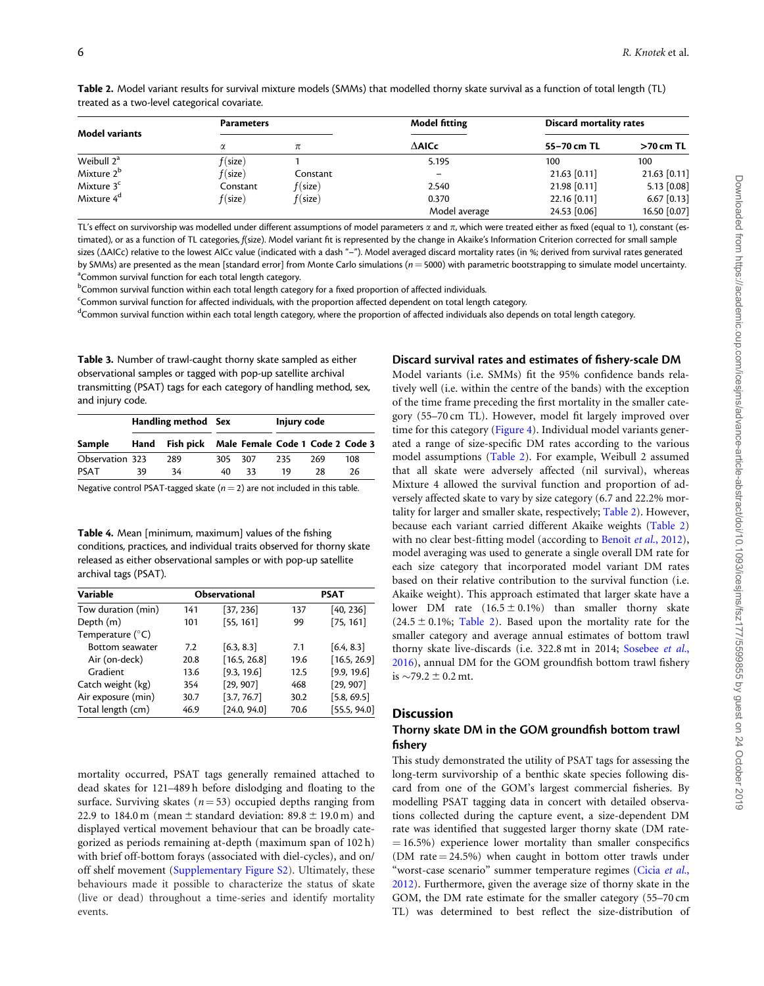<span id="page-5-0"></span>

| Table 2. Model variant results for survival mixture models (SMMs) that modelled thorny skate survival as a function of total length (TL) |  |  |  |
|------------------------------------------------------------------------------------------------------------------------------------------|--|--|--|
| treated as a two-level categorical covariate.                                                                                            |  |  |  |

| <b>Model variants</b>  | <b>Parameters</b>  |            | <b>Model fitting</b> | <b>Discard mortality rates</b> |               |
|------------------------|--------------------|------------|----------------------|--------------------------------|---------------|
|                        | α                  | π          | $\Delta$ AlCc        | 55-70 cm TL                    | $>70$ cm TL   |
| Weibull 2 <sup>a</sup> | $f(\mathsf{size})$ |            | 5.195                | 100                            | 100           |
| Mixture 2 <sup>b</sup> | $f(\mathsf{size})$ | Constant   |                      | $21.63$ [0.11]                 | 21.63 [0.11]  |
| Mixture 3 <sup>c</sup> | Constant           | f(size)    | 2.540                | 21.98 [0.11]                   | $5.13$ [0.08] |
| Mixture 4 <sup>d</sup> | $f(\mathsf{size})$ | $f$ (size) | 0.370                | 22.16 [0.11]                   | $6.67$ [0.13] |
|                        |                    |            | Model average        | 24.53 [0.06]                   | 16.50 [0.07]  |

TL's effect on survivorship was modelled under different assumptions of model parameters  $\alpha$  and  $\pi$ , which were treated either as fixed (equal to 1), constant (estimated), or as a function of TL categories, f(size). Model variant fit is represented by the change in Akaike's Information Criterion corrected for small sample sizes ( $\Delta$ AICc) relative to the lowest AICc value (indicated with a dash "-"). Model averaged discard mortality rates (in %; derived from survival rates generated by SMMs) are presented as the mean [standard error] from Monte Carlo simulations ( $n = 5000$ ) with parametric bootstrapping to simulate model uncertainty. <sup>a</sup> Common survival function for each total length category.

<sup>b</sup>Common survival function within each total length category for a fixed proportion of affected individuals.

<sup>c</sup>Common survival function for affected individuals, with the proportion affected dependent on total length category.

dCommon survival function within each total length category, where the proportion of affected individuals also depends on total length category.

Table 3. Number of trawl-caught thorny skate sampled as either observational samples or tagged with pop-up satellite archival transmitting (PSAT) tags for each category of handling method, sex, and injury code.

|                 | Handling method Sex |                                            |         |    | Injury code |     |     |
|-----------------|---------------------|--------------------------------------------|---------|----|-------------|-----|-----|
| Sample          | Hand                | Fish pick Male Female Code 1 Code 2 Code 3 |         |    |             |     |     |
| Observation 323 |                     | 289                                        | 305 307 |    | 235         | 269 | 108 |
| PSAT            | 39                  | 34                                         | 40      | 33 | 19          | 28  | 26  |

Negative control PSAT-tagged skate ( $n = 2$ ) are not included in this table.

Table 4. Mean [minimum, maximum] values of the fishing conditions, practices, and individual traits observed for thorny skate released as either observational samples or with pop-up satellite archival tags (PSAT).

| Variable                  |      | <b>Observational</b> | <b>PSAT</b> |              |  |
|---------------------------|------|----------------------|-------------|--------------|--|
| Tow duration (min)        | 141  | [37, 236]            | 137         | [40, 236]    |  |
| Depth (m)                 | 101  | [55, 161]            | 99          | [75, 161]    |  |
| Temperature $(^{\circ}C)$ |      |                      |             |              |  |
| Bottom seawater           | 7.2  | [6.3, 8.3]           | 7.1         | [6.4, 8.3]   |  |
| Air (on-deck)             | 20.8 | [16.5, 26.8]         | 19.6        | [16.5, 26.9] |  |
| Gradient                  | 13.6 | [9.3, 19.6]          | 12.5        | [9.9, 19.6]  |  |
| Catch weight (kg)         | 354  | [29, 907]            | 468         | [29, 907]    |  |
| Air exposure (min)        | 30.7 | [3.7, 76.7]          | 30.2        | [5.8, 69.5]  |  |
| Total length (cm)         | 46.9 | [24.0, 94.0]         | 70.6        | [55.5, 94.0] |  |

mortality occurred, PSAT tags generally remained attached to dead skates for 121–489 h before dislodging and floating to the surface. Surviving skates ( $n = 53$ ) occupied depths ranging from 22.9 to 184.0 m (mean  $\pm$  standard deviation: 89.8  $\pm$  19.0 m) and displayed vertical movement behaviour that can be broadly categorized as periods remaining at-depth (maximum span of 102 h) with brief off-bottom forays (associated with diel-cycles), and on/ off shelf movement [\(Supplementary Figure S2\)](https://academic.oup.com/icesjms/article-lookup/doi/10.1093/icesjms/fsz177#supplementary-data). Ultimately, these behaviours made it possible to characterize the status of skate (live or dead) throughout a time-series and identify mortality events.

# Discard survival rates and estimates of fishery-scale DM

Model variants (i.e. SMMs) fit the 95% confidence bands relatively well (i.e. within the centre of the bands) with the exception of the time frame preceding the first mortality in the smaller category (55–70 cm TL). However, model fit largely improved over time for this category [\(Figure 4\)](#page-7-0). Individual model variants generated a range of size-specific DM rates according to the various model assumptions (Table 2). For example, Weibull 2 assumed that all skate were adversely affected (nil survival), whereas Mixture 4 allowed the survival function and proportion of adversely affected skate to vary by size category (6.7 and 22.2% mortality for larger and smaller skate, respectively; Table 2). However, because each variant carried different Akaike weights (Table 2) with no clear best-fitting model (according to Benoît et al., 2012), model averaging was used to generate a single overall DM rate for each size category that incorporated model variant DM rates based on their relative contribution to the survival function (i.e. Akaike weight). This approach estimated that larger skate have a lower DM rate  $(16.5 \pm 0.1\%)$  than smaller thorny skate  $(24.5 \pm 0.1\%)$ ; Table 2). Based upon the mortality rate for the smaller category and average annual estimates of bottom trawl thorny skate live-discards (i.e. 322.8 mt in 2014; [Sosebee](#page-9-0) et al., [2016\)](#page-9-0), annual DM for the GOM groundfish bottom trawl fishery is  $\sim$ 79.2  $\pm$  0.2 mt.

# **Discussion**

# Thorny skate DM in the GOM groundfish bottom trawl fishery

This study demonstrated the utility of PSAT tags for assessing the long-term survivorship of a benthic skate species following discard from one of the GOM's largest commercial fisheries. By modelling PSAT tagging data in concert with detailed observations collected during the capture event, a size-dependent DM rate was identified that suggested larger thorny skate (DM rate-  $= 16.5\%$ ) experience lower mortality than smaller conspecifics (DM rate  $= 24.5\%$ ) when caught in bottom otter trawls under "worst-case scenario" summer temperature regimes [\(Cicia](#page-9-0) et al., [2012\)](#page-9-0). Furthermore, given the average size of thorny skate in the GOM, the DM rate estimate for the smaller category (55–70 cm TL) was determined to best reflect the size-distribution of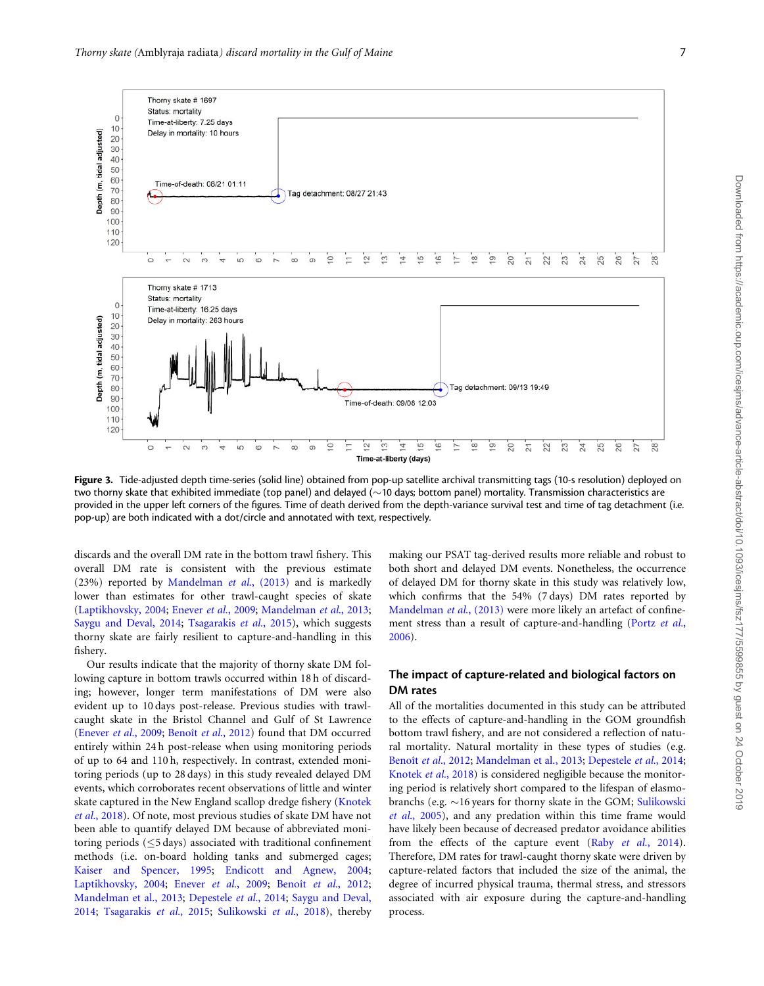<span id="page-6-0"></span>

Figure 3. Tide-adjusted depth time-series (solid line) obtained from pop-up satellite archival transmitting tags (10-s resolution) deployed on two thorny skate that exhibited immediate (top panel) and delayed  $(\sim$ 10 days; bottom panel) mortality. Transmission characteristics are provided in the upper left corners of the figures. Time of death derived from the depth-variance survival test and time of tag detachment (i.e. pop-up) are both indicated with a dot/circle and annotated with text, respectively.

discards and the overall DM rate in the bottom trawl fishery. This overall DM rate is consistent with the previous estimate (23%) reported by [Mandelman](#page-9-0) et al., (2013) and is markedly lower than estimates for other trawl-caught species of skate ([Laptikhovsky, 2004](#page-9-0); [Enever](#page-9-0) et al., 2009; [Mandelman](#page-9-0) et al., 2013; [Saygu and Deval, 2014](#page-9-0); [Tsagarakis](#page-10-0) et al., 2015), which suggests thorny skate are fairly resilient to capture-and-handling in this fishery.

Our results indicate that the majority of thorny skate DM following capture in bottom trawls occurred within 18 h of discarding; however, longer term manifestations of DM were also evident up to 10 days post-release. Previous studies with trawlcaught skate in the Bristol Channel and Gulf of St Lawrence ([Enever](#page-9-0) et al., 2009; Benoît et al[., 2012\)](#page-8-0) found that DM occurred entirely within 24 h post-release when using monitoring periods of up to 64 and 110 h, respectively. In contrast, extended monitoring periods (up to 28 days) in this study revealed delayed DM events, which corroborates recent observations of little and winter skate captured in the New England scallop dredge fishery [\(Knotek](#page-9-0) et al.[, 2018](#page-9-0)). Of note, most previous studies of skate DM have not been able to quantify delayed DM because of abbreviated monitoring periods  $(55 \text{ days})$  associated with traditional confinement methods (i.e. on-board holding tanks and submerged cages; [Kaiser and Spencer, 1995;](#page-9-0) [Endicott and Agnew, 2004;](#page-9-0) [Laptikhovsky, 2004](#page-9-0); [Enever](#page-9-0) et al., 2009; Benoît et al.[, 2012;](#page-8-0) [Mandelman et al., 2013](#page-9-0); [Depestele](#page-9-0) et al., 2014; [Saygu and Deval,](#page-9-0) [2014;](#page-9-0) [Tsagarakis](#page-10-0) et al., 2015; [Sulikowski](#page-10-0) et al., 2018), thereby

making our PSAT tag-derived results more reliable and robust to both short and delayed DM events. Nonetheless, the occurrence of delayed DM for thorny skate in this study was relatively low, which confirms that the 54% (7 days) DM rates reported by [Mandelman](#page-9-0) et al., (2013) were more likely an artefact of confine-ment stress than a result of capture-and-handling [\(Portz](#page-9-0) et al., [2006\)](#page-9-0).

# The impact of capture-related and biological factors on DM rates

All of the mortalities documented in this study can be attributed to the effects of capture-and-handling in the GOM groundfish bottom trawl fishery, and are not considered a reflection of natural mortality. Natural mortality in these types of studies (e.g. Benoît et al., 2012; [Mandelman et al., 2013](#page-9-0); [Depestele](#page-9-0) et al., 2014; [Knotek](#page-9-0) et al., 2018) is considered negligible because the monitoring period is relatively short compared to the lifespan of elasmobranchs (e.g.  $\sim$ 16 years for thorny skate in the GOM; [Sulikowski](#page-10-0) et al[., 2005](#page-10-0)), and any predation within this time frame would have likely been because of decreased predator avoidance abilities from the effects of the capture event (Raby et al.[, 2014](#page-9-0)). Therefore, DM rates for trawl-caught thorny skate were driven by capture-related factors that included the size of the animal, the degree of incurred physical trauma, thermal stress, and stressors associated with air exposure during the capture-and-handling process.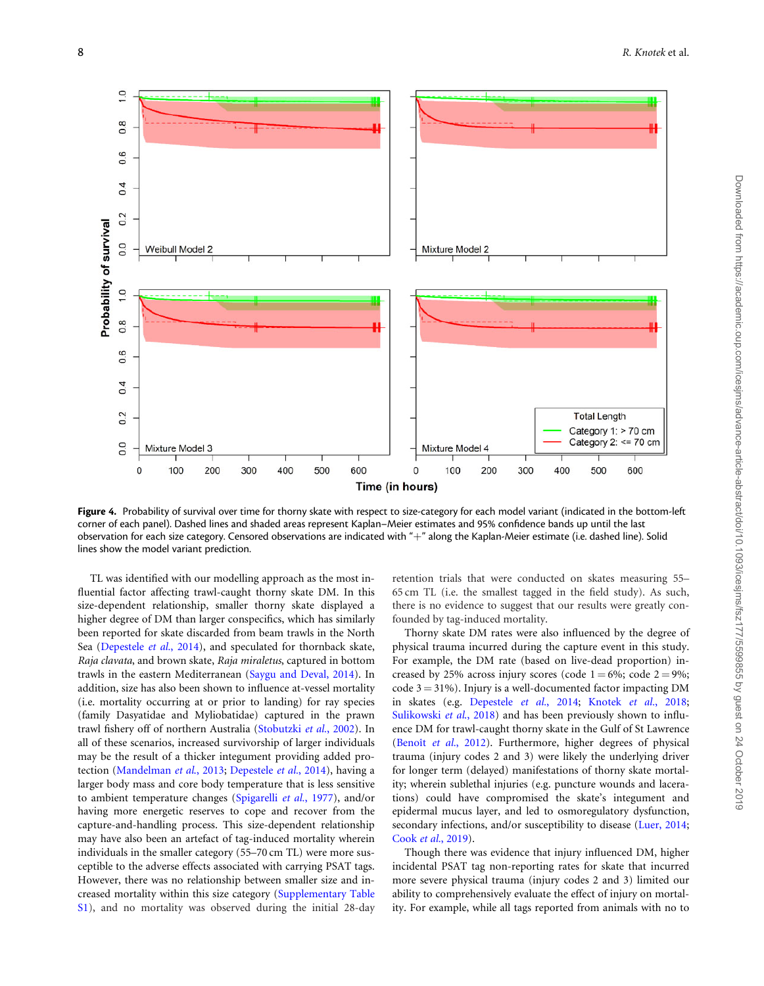<span id="page-7-0"></span>

Figure 4. Probability of survival over time for thorny skate with respect to size-category for each model variant (indicated in the bottom-left corner of each panel). Dashed lines and shaded areas represent Kaplan–Meier estimates and 95% confidence bands up until the last observation for each size category. Censored observations are indicated with "+" along the Kaplan-Meier estimate (i.e. dashed line). Solid lines show the model variant prediction.

TL was identified with our modelling approach as the most influential factor affecting trawl-caught thorny skate DM. In this size-dependent relationship, smaller thorny skate displayed a higher degree of DM than larger conspecifics, which has similarly been reported for skate discarded from beam trawls in the North Sea ([Depestele](#page-9-0) et al., 2014), and speculated for thornback skate, Raja clavata, and brown skate, Raja miraletus, captured in bottom trawls in the eastern Mediterranean [\(Saygu and Deval, 2014](#page-9-0)). In addition, size has also been shown to influence at-vessel mortality (i.e. mortality occurring at or prior to landing) for ray species (family Dasyatidae and Myliobatidae) captured in the prawn trawl fishery off of northern Australia [\(Stobutzki](#page-10-0) et al., 2002). In all of these scenarios, increased survivorship of larger individuals may be the result of a thicker integument providing added protection [\(Mandelman](#page-9-0) et al., 2013; [Depestele](#page-9-0) et al., 2014), having a larger body mass and core body temperature that is less sensitive to ambient temperature changes [\(Spigarelli](#page-10-0) et al., 1977), and/or having more energetic reserves to cope and recover from the capture-and-handling process. This size-dependent relationship may have also been an artefact of tag-induced mortality wherein individuals in the smaller category (55–70 cm TL) were more susceptible to the adverse effects associated with carrying PSAT tags. However, there was no relationship between smaller size and increased mortality within this size category ([Supplementary Table](https://academic.oup.com/icesjms/article-lookup/doi/10.1093/icesjms/fsz177#supplementary-data) [S1\)](https://academic.oup.com/icesjms/article-lookup/doi/10.1093/icesjms/fsz177#supplementary-data), and no mortality was observed during the initial 28-day

retention trials that were conducted on skates measuring 55– 65 cm TL (i.e. the smallest tagged in the field study). As such, there is no evidence to suggest that our results were greatly confounded by tag-induced mortality.

Thorny skate DM rates were also influenced by the degree of physical trauma incurred during the capture event in this study. For example, the DM rate (based on live-dead proportion) increased by 25% across injury scores (code  $1 = 6\%$ ; code  $2 = 9\%$ ; code  $3 = 31\%$ ). Injury is a well-documented factor impacting DM in skates (e.g. [Depestele](#page-9-0) et al., 2014; [Knotek](#page-9-0) et al., 2018; [Sulikowski](#page-10-0) et al., 2018) and has been previously shown to influence DM for trawl-caught thorny skate in the Gulf of St Lawrence (Benoît et al.[, 2012\)](#page-8-0). Furthermore, higher degrees of physical trauma (injury codes 2 and 3) were likely the underlying driver for longer term (delayed) manifestations of thorny skate mortality; wherein sublethal injuries (e.g. puncture wounds and lacerations) could have compromised the skate's integument and epidermal mucus layer, and led to osmoregulatory dysfunction, secondary infections, and/or susceptibility to disease ([Luer, 2014;](#page-9-0) Cook et al.[, 2019](#page-9-0)).

Though there was evidence that injury influenced DM, higher incidental PSAT tag non-reporting rates for skate that incurred more severe physical trauma (injury codes 2 and 3) limited our ability to comprehensively evaluate the effect of injury on mortality. For example, while all tags reported from animals with no to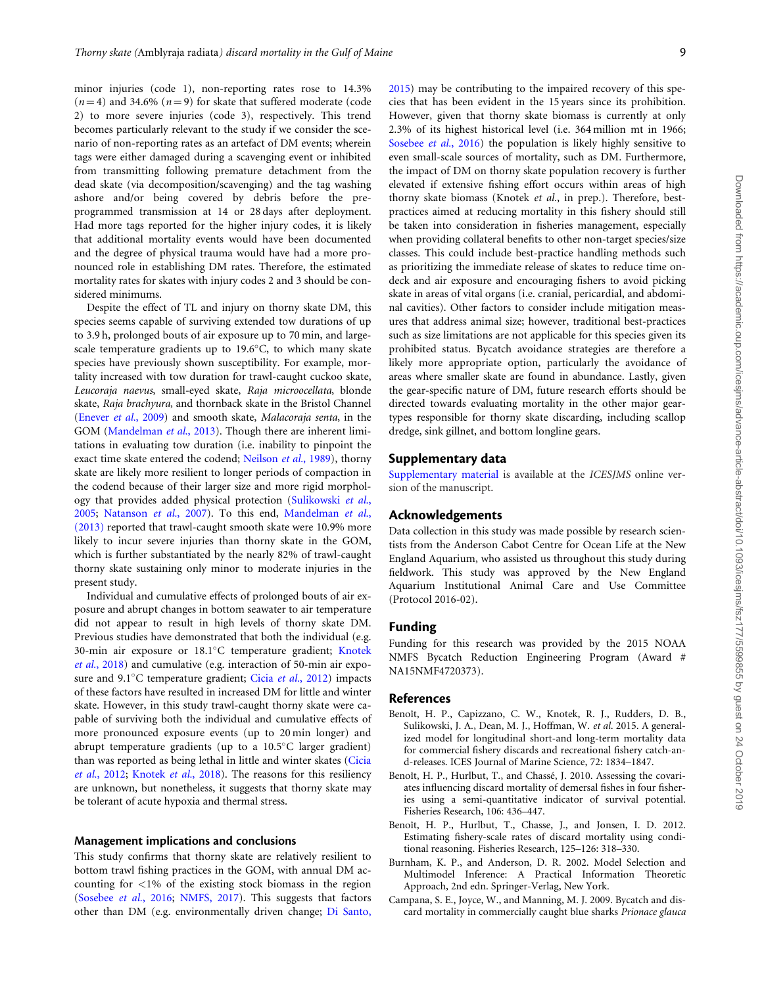<span id="page-8-0"></span>minor injuries (code 1), non-reporting rates rose to 14.3%  $(n = 4)$  and 34.6%  $(n = 9)$  for skate that suffered moderate (code 2) to more severe injuries (code 3), respectively. This trend becomes particularly relevant to the study if we consider the scenario of non-reporting rates as an artefact of DM events; wherein tags were either damaged during a scavenging event or inhibited from transmitting following premature detachment from the dead skate (via decomposition/scavenging) and the tag washing ashore and/or being covered by debris before the preprogrammed transmission at 14 or 28 days after deployment. Had more tags reported for the higher injury codes, it is likely that additional mortality events would have been documented and the degree of physical trauma would have had a more pronounced role in establishing DM rates. Therefore, the estimated mortality rates for skates with injury codes 2 and 3 should be considered minimums.

Despite the effect of TL and injury on thorny skate DM, this species seems capable of surviving extended tow durations of up to 3.9 h, prolonged bouts of air exposure up to 70 min, and largescale temperature gradients up to  $19.6^{\circ}$ C, to which many skate species have previously shown susceptibility. For example, mortality increased with tow duration for trawl-caught cuckoo skate, Leucoraja naevus, small-eyed skate, Raja microocellata, blonde skate, Raja brachyura, and thornback skate in the Bristol Channel ([Enever](#page-9-0) et al., 2009) and smooth skate, Malacoraja senta, in the GOM ([Mandelman](#page-9-0) et al., 2013). Though there are inherent limitations in evaluating tow duration (i.e. inability to pinpoint the exact time skate entered the codend; [Neilson](#page-9-0) et al., 1989), thorny skate are likely more resilient to longer periods of compaction in the codend because of their larger size and more rigid morphology that provides added physical protection ([Sulikowski](#page-10-0) et al., [2005;](#page-10-0) [Natanson](#page-9-0) et al., 2007). To this end, [Mandelman](#page-9-0) et al., [\(2013\)](#page-9-0) reported that trawl-caught smooth skate were 10.9% more likely to incur severe injuries than thorny skate in the GOM, which is further substantiated by the nearly 82% of trawl-caught thorny skate sustaining only minor to moderate injuries in the present study.

Individual and cumulative effects of prolonged bouts of air exposure and abrupt changes in bottom seawater to air temperature did not appear to result in high levels of thorny skate DM. Previous studies have demonstrated that both the individual (e.g. 30-min air exposure or 18.1°C temperature gradient; [Knotek](#page-9-0) et al.[, 2018](#page-9-0)) and cumulative (e.g. interaction of 50-min air expo-sure and 9.1°C temperature gradient; Cicia et al.[, 2012\)](#page-9-0) impacts of these factors have resulted in increased DM for little and winter skate. However, in this study trawl-caught thorny skate were capable of surviving both the individual and cumulative effects of more pronounced exposure events (up to 20 min longer) and abrupt temperature gradients (up to a 10.5°C larger gradient) than was reported as being lethal in little and winter skates [\(Cicia](#page-9-0) et al.[, 2012;](#page-9-0) [Knotek](#page-9-0) et al., 2018). The reasons for this resiliency are unknown, but nonetheless, it suggests that thorny skate may be tolerant of acute hypoxia and thermal stress.

#### Management implications and conclusions

This study confirms that thorny skate are relatively resilient to bottom trawl fishing practices in the GOM, with annual DM accounting for  $\langle 1\%$  of the existing stock biomass in the region ([Sosebee](#page-9-0) et al., 2016; [NMFS, 2017\)](#page-9-0). This suggests that factors other than DM (e.g. environmentally driven change; [Di Santo,](#page-9-0)

[2015\)](#page-9-0) may be contributing to the impaired recovery of this species that has been evident in the 15 years since its prohibition. However, given that thorny skate biomass is currently at only 2.3% of its highest historical level (i.e. 364 million mt in 1966; [Sosebee](#page-9-0) et al., 2016) the population is likely highly sensitive to even small-scale sources of mortality, such as DM. Furthermore, the impact of DM on thorny skate population recovery is further elevated if extensive fishing effort occurs within areas of high thorny skate biomass (Knotek et al., in prep.). Therefore, bestpractices aimed at reducing mortality in this fishery should still be taken into consideration in fisheries management, especially when providing collateral benefits to other non-target species/size classes. This could include best-practice handling methods such as prioritizing the immediate release of skates to reduce time ondeck and air exposure and encouraging fishers to avoid picking skate in areas of vital organs (i.e. cranial, pericardial, and abdominal cavities). Other factors to consider include mitigation measures that address animal size; however, traditional best-practices such as size limitations are not applicable for this species given its prohibited status. Bycatch avoidance strategies are therefore a likely more appropriate option, particularly the avoidance of areas where smaller skate are found in abundance. Lastly, given the gear-specific nature of DM, future research efforts should be directed towards evaluating mortality in the other major geartypes responsible for thorny skate discarding, including scallop dredge, sink gillnet, and bottom longline gears.

#### Supplementary data

[Supplementary material](https://academic.oup.com/icesjms/article-lookup/doi/10.1093/icesjms/fsz177#supplementary-data) is available at the ICESJMS online version of the manuscript.

#### Acknowledgements

Data collection in this study was made possible by research scientists from the Anderson Cabot Centre for Ocean Life at the New England Aquarium, who assisted us throughout this study during fieldwork. This study was approved by the New England Aquarium Institutional Animal Care and Use Committee (Protocol 2016-02).

#### Funding

Funding for this research was provided by the 2015 NOAA NMFS Bycatch Reduction Engineering Program (Award # NA15NMF4720373).

#### References

- Benoît, H. P., Capizzano, C. W., Knotek, R. J., Rudders, D. B., Sulikowski, J. A., Dean, M. J., Hoffman, W. et al. 2015. A generalized model for longitudinal short-and long-term mortality data for commercial fishery discards and recreational fishery catch-and-releases. ICES Journal of Marine Science, 72: 1834–1847.
- Benoît, H. P., Hurlbut, T., and Chassé, J. 2010. Assessing the covariates influencing discard mortality of demersal fishes in four fisheries using a semi-quantitative indicator of survival potential. Fisheries Research, 106: 436–447.
- Benoît, H. P., Hurlbut, T., Chasse, J., and Jonsen, I. D. 2012. Estimating fishery-scale rates of discard mortality using conditional reasoning. Fisheries Research, 125–126: 318–330.
- Burnham, K. P., and Anderson, D. R. 2002. Model Selection and Multimodel Inference: A Practical Information Theoretic Approach, 2nd edn. Springer-Verlag, New York.
- Campana, S. E., Joyce, W., and Manning, M. J. 2009. Bycatch and discard mortality in commercially caught blue sharks Prionace glauca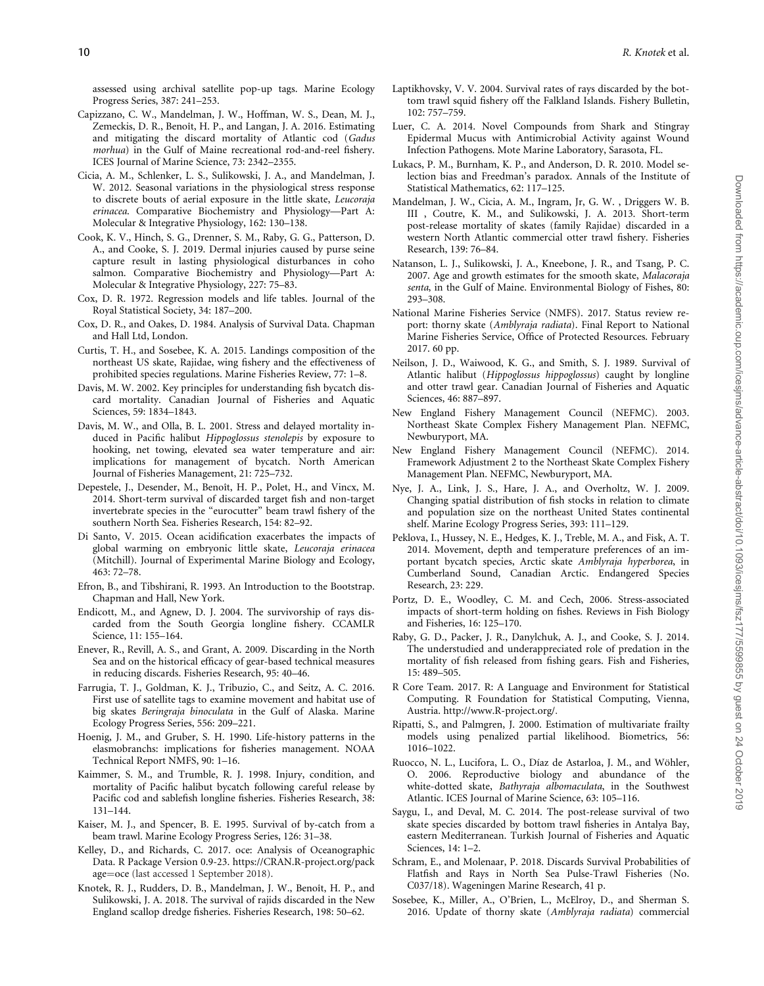- <span id="page-9-0"></span>Capizzano, C. W., Mandelman, J. W., Hoffman, W. S., Dean, M. J., Zemeckis, D. R., Benoît, H. P., and Langan, J. A. 2016. Estimating and mitigating the discard mortality of Atlantic cod (Gadus morhua) in the Gulf of Maine recreational rod-and-reel fishery. ICES Journal of Marine Science, 73: 2342–2355.
- Cicia, A. M., Schlenker, L. S., Sulikowski, J. A., and Mandelman, J. W. 2012. Seasonal variations in the physiological stress response to discrete bouts of aerial exposure in the little skate, Leucoraja erinacea. Comparative Biochemistry and Physiology—Part A: Molecular & Integrative Physiology, 162: 130–138.
- Cook, K. V., Hinch, S. G., Drenner, S. M., Raby, G. G., Patterson, D. A., and Cooke, S. J. 2019. Dermal injuries caused by purse seine capture result in lasting physiological disturbances in coho salmon. Comparative Biochemistry and Physiology—Part A: Molecular & Integrative Physiology, 227: 75–83.
- Cox, D. R. 1972. Regression models and life tables. Journal of the Royal Statistical Society, 34: 187–200.
- Cox, D. R., and Oakes, D. 1984. Analysis of Survival Data. Chapman and Hall Ltd, London.
- Curtis, T. H., and Sosebee, K. A. 2015. Landings composition of the northeast US skate, Rajidae, wing fishery and the effectiveness of prohibited species regulations. Marine Fisheries Review, 77: 1–8.
- Davis, M. W. 2002. Key principles for understanding fish bycatch discard mortality. Canadian Journal of Fisheries and Aquatic Sciences, 59: 1834–1843.
- Davis, M. W., and Olla, B. L. 2001. Stress and delayed mortality induced in Pacific halibut Hippoglossus stenolepis by exposure to hooking, net towing, elevated sea water temperature and air: implications for management of bycatch. North American Journal of Fisheries Management, 21: 725–732.
- Depestele, J., Desender, M., Benoît, H. P., Polet, H., and Vincx, M. 2014. Short-term survival of discarded target fish and non-target invertebrate species in the "eurocutter" beam trawl fishery of the southern North Sea. Fisheries Research, 154: 82–92.
- Di Santo, V. 2015. Ocean acidification exacerbates the impacts of global warming on embryonic little skate, Leucoraja erinacea (Mitchill). Journal of Experimental Marine Biology and Ecology, 463: 72–78.
- Efron, B., and Tibshirani, R. 1993. An Introduction to the Bootstrap. Chapman and Hall, New York.
- Endicott, M., and Agnew, D. J. 2004. The survivorship of rays discarded from the South Georgia longline fishery. CCAMLR Science, 11: 155–164.
- Enever, R., Revill, A. S., and Grant, A. 2009. Discarding in the North Sea and on the historical efficacy of gear-based technical measures in reducing discards. Fisheries Research, 95: 40–46.
- Farrugia, T. J., Goldman, K. J., Tribuzio, C., and Seitz, A. C. 2016. First use of satellite tags to examine movement and habitat use of big skates Beringraja binoculata in the Gulf of Alaska. Marine Ecology Progress Series, 556: 209–221.
- Hoenig, J. M., and Gruber, S. H. 1990. Life-history patterns in the elasmobranchs: implications for fisheries management. NOAA Technical Report NMFS, 90: 1–16.
- Kaimmer, S. M., and Trumble, R. J. 1998. Injury, condition, and mortality of Pacific halibut bycatch following careful release by Pacific cod and sablefish longline fisheries. Fisheries Research, 38: 131–144.
- Kaiser, M. J., and Spencer, B. E. 1995. Survival of by-catch from a beam trawl. Marine Ecology Progress Series, 126: 31–38.
- Kelley, D., and Richards, C. 2017. oce: Analysis of Oceanographic Data. R Package Version 0.9-23. [https://CRAN.R-project.org/pack](https://CRAN.R-project.org/package=oce) [age](https://CRAN.R-project.org/package=oce)=[oce](https://CRAN.R-project.org/package=oce) (last accessed 1 September 2018).
- Knotek, R. J., Rudders, D. B., Mandelman, J. W., Benoît, H. P., and Sulikowski, J. A. 2018. The survival of rajids discarded in the New England scallop dredge fisheries. Fisheries Research, 198: 50–62.
- Laptikhovsky, V. V. 2004. Survival rates of rays discarded by the bottom trawl squid fishery off the Falkland Islands. Fishery Bulletin, 102: 757–759.
- Luer, C. A. 2014. Novel Compounds from Shark and Stingray Epidermal Mucus with Antimicrobial Activity against Wound Infection Pathogens. Mote Marine Laboratory, Sarasota, FL.
- Lukacs, P. M., Burnham, K. P., and Anderson, D. R. 2010. Model selection bias and Freedman's paradox. Annals of the Institute of Statistical Mathematics, 62: 117–125.
- Mandelman, J. W., Cicia, A. M., Ingram, Jr, G. W. , Driggers W. B. III , Coutre, K. M., and Sulikowski, J. A. 2013. Short-term post-release mortality of skates (family Rajidae) discarded in a western North Atlantic commercial otter trawl fishery. Fisheries Research, 139: 76–84.
- Natanson, L. J., Sulikowski, J. A., Kneebone, J. R., and Tsang, P. C. 2007. Age and growth estimates for the smooth skate, Malacoraja senta, in the Gulf of Maine. Environmental Biology of Fishes, 80: 293–308.
- National Marine Fisheries Service (NMFS). 2017. Status review report: thorny skate (Amblyraja radiata). Final Report to National Marine Fisheries Service, Office of Protected Resources. February 2017. 60 pp.
- Neilson, J. D., Waiwood, K. G., and Smith, S. J. 1989. Survival of Atlantic halibut (Hippoglossus hippoglossus) caught by longline and otter trawl gear. Canadian Journal of Fisheries and Aquatic Sciences, 46: 887–897.
- New England Fishery Management Council (NEFMC). 2003. Northeast Skate Complex Fishery Management Plan. NEFMC, Newburyport, MA.
- New England Fishery Management Council (NEFMC). 2014. Framework Adjustment 2 to the Northeast Skate Complex Fishery Management Plan. NEFMC, Newburyport, MA.
- Nye, J. A., Link, J. S., Hare, J. A., and Overholtz, W. J. 2009. Changing spatial distribution of fish stocks in relation to climate and population size on the northeast United States continental shelf. Marine Ecology Progress Series, 393: 111–129.
- Peklova, I., Hussey, N. E., Hedges, K. J., Treble, M. A., and Fisk, A. T. 2014. Movement, depth and temperature preferences of an important bycatch species, Arctic skate Amblyraja hyperborea, in Cumberland Sound, Canadian Arctic. Endangered Species Research, 23: 229.
- Portz, D. E., Woodley, C. M. and Cech, 2006. Stress-associated impacts of short-term holding on fishes. Reviews in Fish Biology and Fisheries, 16: 125–170.
- Raby, G. D., Packer, J. R., Danylchuk, A. J., and Cooke, S. J. 2014. The understudied and underappreciated role of predation in the mortality of fish released from fishing gears. Fish and Fisheries, 15: 489–505.
- R Core Team. 2017. R: A Language and Environment for Statistical Computing. R Foundation for Statistical Computing, Vienna, Austria.<http://www.R-project.org/>.
- Ripatti, S., and Palmgren, J. 2000. Estimation of multivariate frailty models using penalized partial likelihood. Biometrics, 56: 1016–1022.
- Ruocco, N. L., Lucifora, L. O., Díaz de Astarloa, J. M., and Wöhler, O. 2006. Reproductive biology and abundance of the white-dotted skate, Bathyraja albomaculata, in the Southwest Atlantic. ICES Journal of Marine Science, 63: 105–116.
- Saygu, I., and Deval, M. C. 2014. The post-release survival of two skate species discarded by bottom trawl fisheries in Antalya Bay, eastern Mediterranean. Turkish Journal of Fisheries and Aquatic Sciences, 14: 1–2.
- Schram, E., and Molenaar, P. 2018. Discards Survival Probabilities of Flatfish and Rays in North Sea Pulse-Trawl Fisheries (No. C037/18). Wageningen Marine Research, 41 p.
- Sosebee, K., Miller, A., O'Brien, L., McElroy, D., and Sherman S. 2016. Update of thorny skate (Amblyraja radiata) commercial